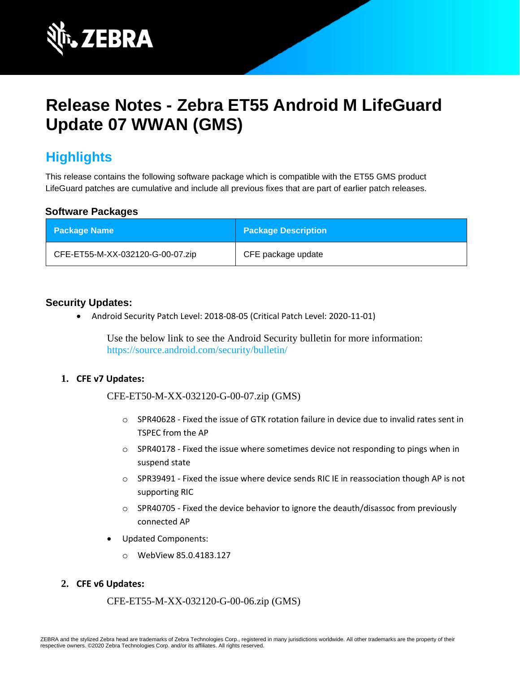

# **Release Notes - Zebra ET55 Android M LifeGuard Update 07 WWAN (GMS)**

# **Highlights**

This release contains the following software package which is compatible with the ET55 GMS product LifeGuard patches are cumulative and include all previous fixes that are part of earlier patch releases.

#### **Software Packages**

| <b>Package Name</b>              | <b>Package Description</b> |
|----------------------------------|----------------------------|
| CFE-ET55-M-XX-032120-G-00-07.zip | CFE package update         |

#### **Security Updates:**

• Android Security Patch Level: 2018-08-05 (Critical Patch Level: 2020-11-01)

Use the below link to see the Android Security bulletin for more information: <https://source.android.com/security/bulletin/>

#### **1. CFE v7 Updates:**

CFE-ET50-M-XX-032120-G-00-07.zip (GMS)

- $\circ$  SPR40628 Fixed the issue of GTK rotation failure in device due to invalid rates sent in TSPEC from the AP
- $\circ$  SPR40178 Fixed the issue where sometimes device not responding to pings when in suspend state
- o SPR39491 Fixed the issue where device sends RIC IE in reassociation though AP is not supporting RIC
- $\circ$  SPR40705 Fixed the device behavior to ignore the deauth/disassoc from previously connected AP
- Updated Components:
	- o WebView 85.0.4183.127

#### **2. CFE v6 Updates:**

CFE-ET55-M-XX-032120-G-00-06.zip (GMS)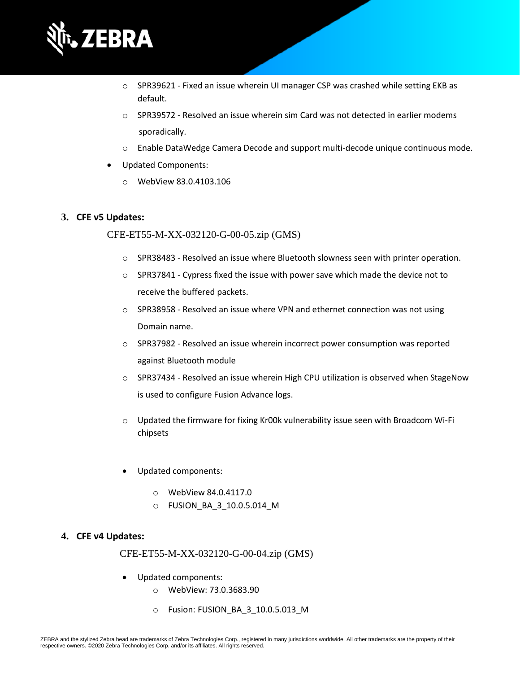

- $\circ$  SPR39621 Fixed an issue wherein UI manager CSP was crashed while setting EKB as default.
- $\circ$  SPR39572 Resolved an issue wherein sim Card was not detected in earlier modems sporadically.
- o Enable DataWedge Camera Decode and support multi-decode unique continuous mode.
- Updated Components:
	- o WebView 83.0.4103.106

#### **3. CFE v5 Updates:**

#### CFE-ET55-M-XX-032120-G-00-05.zip (GMS)

- $\circ$  SPR38483 Resolved an issue where Bluetooth slowness seen with printer operation.
- $\circ$  SPR37841 Cypress fixed the issue with power save which made the device not to receive the buffered packets.
- $\circ$  SPR38958 Resolved an issue where VPN and ethernet connection was not using Domain name.
- $\circ$  SPR37982 Resolved an issue wherein incorrect power consumption was reported against Bluetooth module
- o SPR37434 Resolved an issue wherein High CPU utilization is observed when StageNow is used to configure Fusion Advance logs.
- $\circ$  Updated the firmware for fixing Kr00k vulnerability issue seen with Broadcom Wi-Fi chipsets
- Updated components:
	- o WebView 84.0.4117.0
	- o FUSION\_BA\_3\_10.0.5.014\_M

#### **4. CFE v4 Updates:**

#### CFE-ET55-M-XX-032120-G-00-04.zip (GMS)

- Updated components:
	- o WebView: 73.0.3683.90
	- o Fusion: FUSION\_BA\_3\_10.0.5.013\_M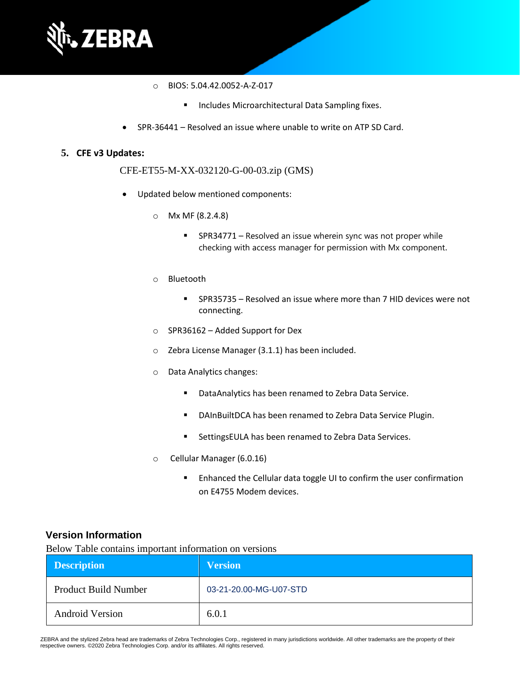

- o BIOS: 5.04.42.0052-A-Z-017
	- Includes Microarchitectural Data Sampling fixes.
- SPR-36441 Resolved an issue where unable to write on ATP SD Card.

#### **5. CFE v3 Updates:**

CFE-ET55-M-XX-032120-G-00-03.zip (GMS)

- Updated below mentioned components:
	- o Mx MF (8.2.4.8)
		- SPR34771 Resolved an issue wherein sync was not proper while checking with access manager for permission with Mx component.
	- o Bluetooth
		- SPR35735 Resolved an issue where more than 7 HID devices were not connecting.
	- o SPR36162 Added Support for Dex
	- o Zebra License Manager (3.1.1) has been included.
	- o Data Analytics changes:
		- DataAnalytics has been renamed to Zebra Data Service.
		- DAInBuiltDCA has been renamed to Zebra Data Service Plugin.
		- SettingsEULA has been renamed to Zebra Data Services.
	- o Cellular Manager (6.0.16)
		- Enhanced the Cellular data toggle UI to confirm the user confirmation on E4755 Modem devices.

#### **Version Information**

Below Table contains important information on versions

| <b>Description</b>          | <b>Version</b>         |
|-----------------------------|------------------------|
| <b>Product Build Number</b> | 03-21-20.00-MG-U07-STD |
| <b>Android Version</b>      | 6.0.1                  |

ZEBRA and the stylized Zebra head are trademarks of Zebra Technologies Corp., registered in many jurisdictions worldwide. All other trademarks are the property of their respective owners. ©2020 Zebra Technologies Corp. and/or its affiliates. All rights reserved.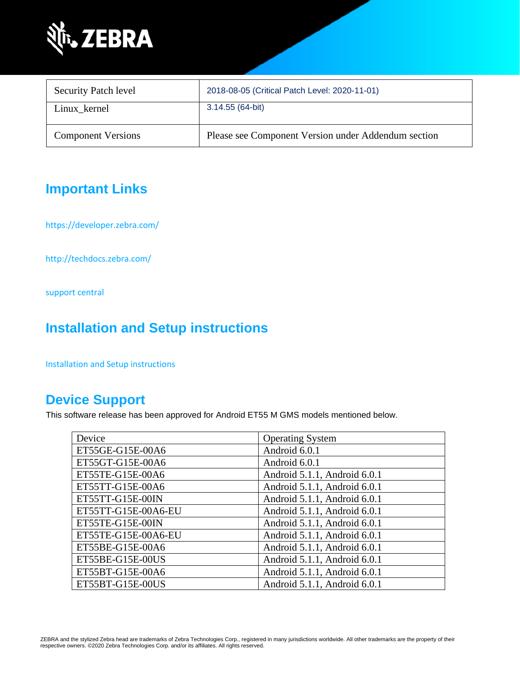

| <b>Security Patch level</b> | 2018-08-05 (Critical Patch Level: 2020-11-01)       |
|-----------------------------|-----------------------------------------------------|
| Linux kernel                | 3.14.55 (64-bit)                                    |
| <b>Component Versions</b>   | Please see Component Version under Addendum section |

# **Important Links**

<https://developer.zebra.com/>

<http://techdocs.zebra.com/>

[support central](https://www.zebra.com/us/en/support-downloads/software/operating-system/et55-gms-operating-system.html)

# **Installation and Setup instructions**

[Installation and Setup instructions](https://www.zebra.com/content/dam/zebra_new_ia/en-us/software/operating-system/ET5X%20Operating%20System/ET55-M-GMS-OS-UPDATE-INSTRUCTIONS.pdf)

### **Device Support**

This software release has been approved for Android ET55 M GMS models mentioned below.

| Device              | <b>Operating System</b>      |  |
|---------------------|------------------------------|--|
| ET55GE-G15E-00A6    | Android 6.0.1                |  |
| ET55GT-G15E-00A6    | Android 6.0.1                |  |
| ET55TE-G15E-00A6    | Android 5.1.1, Android 6.0.1 |  |
| ET55TT-G15E-00A6    | Android 5.1.1, Android 6.0.1 |  |
| ET55TT-G15E-00IN    | Android 5.1.1, Android 6.0.1 |  |
| ET55TT-G15E-00A6-EU | Android 5.1.1, Android 6.0.1 |  |
| ET55TE-G15E-00IN    | Android 5.1.1, Android 6.0.1 |  |
| ET55TE-G15E-00A6-EU | Android 5.1.1, Android 6.0.1 |  |
| ET55BE-G15E-00A6    | Android 5.1.1, Android 6.0.1 |  |
| ET55BE-G15E-00US    | Android 5.1.1, Android 6.0.1 |  |
| ET55BT-G15E-00A6    | Android 5.1.1, Android 6.0.1 |  |
| ET55BT-G15E-00US    | Android 5.1.1, Android 6.0.1 |  |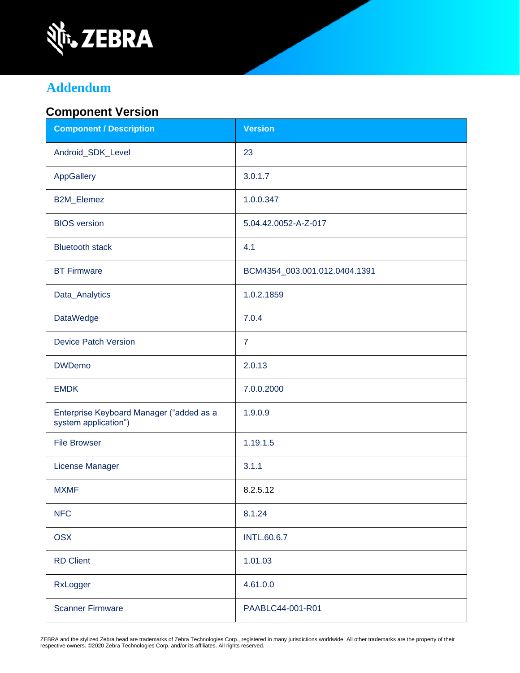

# **Addendum**

### **Component Version**

| <b>Component / Description</b>                                   | <b>Version</b>                |
|------------------------------------------------------------------|-------------------------------|
| Android_SDK_Level                                                | 23                            |
| AppGallery                                                       | 3.0.1.7                       |
| <b>B2M_Elemez</b>                                                | 1.0.0.347                     |
| <b>BIOS</b> version                                              | 5.04.42.0052-A-Z-017          |
| <b>Bluetooth stack</b>                                           | 4.1                           |
| <b>BT Firmware</b>                                               | BCM4354_003.001.012.0404.1391 |
| Data_Analytics                                                   | 1.0.2.1859                    |
| <b>DataWedge</b>                                                 | 7.0.4                         |
| <b>Device Patch Version</b>                                      | $\overline{7}$                |
| <b>DWDemo</b>                                                    | 2.0.13                        |
| <b>EMDK</b>                                                      | 7.0.0.2000                    |
| Enterprise Keyboard Manager ("added as a<br>system application") | 1.9.0.9                       |
| <b>File Browser</b>                                              | 1.19.1.5                      |
| License Manager                                                  | 3.1.1                         |
| <b>MXMF</b>                                                      | 8.2.5.12                      |
| <b>NFC</b>                                                       | 8.1.24                        |
| <b>OSX</b>                                                       | <b>INTL.60.6.7</b>            |
| <b>RD Client</b>                                                 | 1.01.03                       |
| RxLogger                                                         | 4.61.0.0                      |
| <b>Scanner Firmware</b>                                          | PAABLC44-001-R01              |

ZEBRA and the stylized Zebra head are trademarks of Zebra Technologies Corp., registered in many jurisdictions worldwide. All other trademarks are the property of their<br>respective owners. ©2020 Zebra Technologies Corp. and